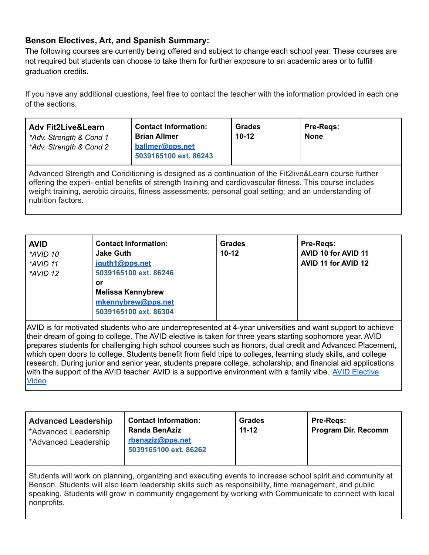## **Benson Electives, Art, and Spanish Summary:**

The following courses are currently being offered and subject to change each school year. These courses are not required but students can choose to take them for further exposure to an academic area or to fulfill graduation credits.

If you have any additional questions, feel free to contact the teacher with the information provided in each one of the sections.

| <b>Adv Fit2Live&amp;Learn</b><br>*Adv. Strength & Cond 1<br>*Adv. Strength & Cond 2                                                                                                                                                                                                                                                                 | <b>Contact Information:</b><br><b>Brian Allmer</b><br>ballmer@pps.net<br>5039165100 ext. 86243 | <b>Grades</b><br>$10-12$ | <b>Pre-Regs:</b><br><b>None</b> |
|-----------------------------------------------------------------------------------------------------------------------------------------------------------------------------------------------------------------------------------------------------------------------------------------------------------------------------------------------------|------------------------------------------------------------------------------------------------|--------------------------|---------------------------------|
| Advanced Strength and Conditioning is designed as a continuation of the Fit2live&Learn course further<br>offering the experi- ential benefits of strength training and cardiovascular fitness. This course includes<br>weight training, aerobic circuits, fitness assessments; personal goal setting; and an understanding of<br>nutrition factors. |                                                                                                |                          |                                 |

| <b>Contact Information:</b><br><b>AVID</b><br><b>Jake Guth</b><br>*AVID 10<br>jguth1@pps.net<br>*AVID 11<br>5039165100 ext. 86246<br>*AVID 12<br>or<br><b>Melissa Kennybrew</b><br>mkennybrew@pps.net<br>5039165100 ext. 86304 | Grades<br>$10 - 12$ | Pre-Regs:<br>AVID 10 for AVID 11<br>AVID 11 for AVID 12 |
|--------------------------------------------------------------------------------------------------------------------------------------------------------------------------------------------------------------------------------|---------------------|---------------------------------------------------------|
|--------------------------------------------------------------------------------------------------------------------------------------------------------------------------------------------------------------------------------|---------------------|---------------------------------------------------------|

AVID is for motivated students who are underrepresented at 4-year universities and want support to achieve their dream of going to college. The AVID elective is taken for three years starting sophomore year. AVID prepares students for challenging high school courses such as honors, dual credit and Advanced Placement, which open doors to college. Students benefit from field trips to colleges, learning study skills, and college research. During junior and senior year, students prepare college, scholarship, and financial aid applications with the support of the AVID teacher. AVID is a supportive environment with a family vibe. AVID [Elective](https://youtu.be/xsjpHuiUYrU) [Video](https://youtu.be/xsjpHuiUYrU)

| <b>Advanced Leadership</b><br>*Advanced Leadership<br>*Advanced Leadership | <b>Contact Information:</b><br><b>Randa BenAziz</b><br>rbenaziz@pps.net<br>5039165100 ext. 86262 | Grades<br>$11 - 12$ | <b>Pre-Regs:</b><br><b>Program Dir. Recomm</b> |
|----------------------------------------------------------------------------|--------------------------------------------------------------------------------------------------|---------------------|------------------------------------------------|
|----------------------------------------------------------------------------|--------------------------------------------------------------------------------------------------|---------------------|------------------------------------------------|

Students will work on planning, organizing and executing events to increase school spirit and community at Benson. Students will also learn leadership skills such as responsibility, time management, and public speaking. Students will grow in community engagement by working with Communicate to connect with local nonprofits.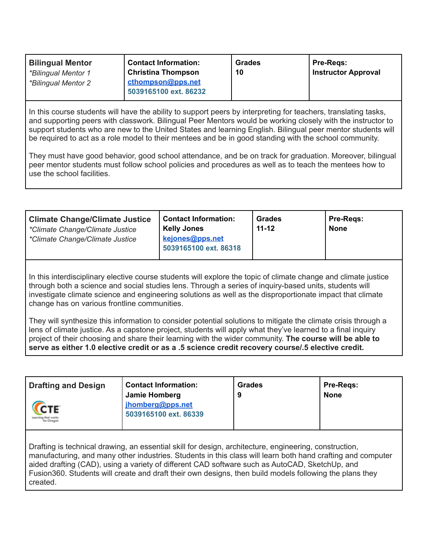| <b>Bilingual Mentor</b> | <b>Contact Information:</b> | <b>Grades</b> | Pre-Regs:           |
|-------------------------|-----------------------------|---------------|---------------------|
| *Bilingual Mentor 1     | <b>Christina Thompson</b>   | 10            | Instructor Approval |
| *Bilingual Mentor 2     | cthompson@pps.net           |               |                     |
|                         | 5039165100 ext. 86232       |               |                     |

In this course students will have the ability to support peers by interpreting for teachers, translating tasks, and supporting peers with classwork. Bilingual Peer Mentors would be working closely with the instructor to support students who are new to the United States and learning English. Bilingual peer mentor students will be required to act as a role model to their mentees and be in good standing with the school community.

They must have good behavior, good school attendance, and be on track for graduation. Moreover, bilingual peer mentor students must follow school policies and procedures as well as to teach the mentees how to use the school facilities.

| <b>Climate Change/Climate Justice</b><br>*Climate Change/Climate Justice<br>*Climate Change/Climate Justice | <b>Contact Information:</b><br><b>Kelly Jones</b><br>kejones@pps.net<br>5039165100 ext. 86318 | <b>Grades</b><br>$11 - 12$ | <b>Pre-Regs:</b><br><b>None</b> |
|-------------------------------------------------------------------------------------------------------------|-----------------------------------------------------------------------------------------------|----------------------------|---------------------------------|
|-------------------------------------------------------------------------------------------------------------|-----------------------------------------------------------------------------------------------|----------------------------|---------------------------------|

In this interdisciplinary elective course students will explore the topic of climate change and climate justice through both a science and social studies lens. Through a series of inquiry-based units, students will investigate climate science and engineering solutions as well as the disproportionate impact that climate change has on various frontline communities.

They will synthesize this information to consider potential solutions to mitigate the climate crisis through a lens of climate justice. As a capstone project, students will apply what they've learned to a final inquiry project of their choosing and share their learning with the wider community. **The course will be able to serve as either 1.0 elective credit or as a .5 science credit recovery course/.5 elective credit.**

| Drafting and Design<br><b>CTE</b>                                                                   | <b>Contact Information:</b><br>Jamie Homberg<br>jhomberg@pps.net<br>5039165100 ext. 86339 | <b>Grades</b><br>9 | <b>Pre-Regs:</b><br><b>None</b> |  |
|-----------------------------------------------------------------------------------------------------|-------------------------------------------------------------------------------------------|--------------------|---------------------------------|--|
| Drefting is technical drawing an ecceptial okill for decian erabitecture, engineering, construction |                                                                                           |                    |                                 |  |

Drafting is technical drawing, an essential skill for design, architecture, engineering, construction, manufacturing, and many other industries. Students in this class will learn both hand crafting and computer aided drafting (CAD), using a variety of different CAD software such as AutoCAD, SketchUp, and Fusion360. Students will create and draft their own designs, then build models following the plans they created.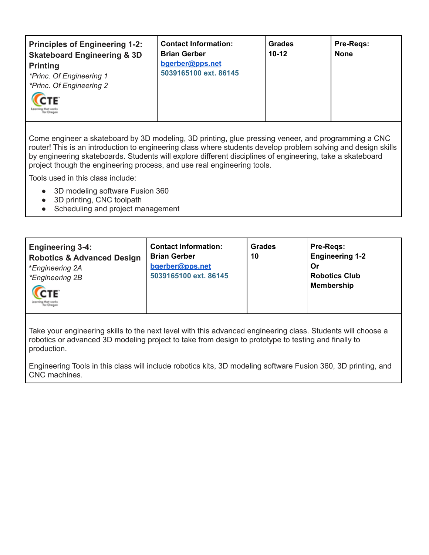| <b>Principles of Engineering 1-2:</b><br><b>Skateboard Engineering &amp; 3D</b><br><b>Printing</b><br>*Princ. Of Engineering 1<br>*Princ. Of Engineering 2<br>CTE | <b>Contact Information:</b><br><b>Brian Gerber</b><br>bgerber@pps.net<br>5039165100 ext. 86145 | <b>Grades</b><br>$10 - 12$ | <b>Pre-Regs:</b><br><b>None</b> |
|-------------------------------------------------------------------------------------------------------------------------------------------------------------------|------------------------------------------------------------------------------------------------|----------------------------|---------------------------------|
|-------------------------------------------------------------------------------------------------------------------------------------------------------------------|------------------------------------------------------------------------------------------------|----------------------------|---------------------------------|

Come engineer a skateboard by 3D modeling, 3D printing, glue pressing veneer, and programming a CNC router! This is an introduction to engineering class where students develop problem solving and design skills by engineering skateboards. Students will explore different disciplines of engineering, take a skateboard project though the engineering process, and use real engineering tools.

Tools used in this class include:

- 3D modeling software Fusion 360
- 3D printing, CNC toolpath
- Scheduling and project management

| <b>Engineering 3-4:</b><br><b>Robotics &amp; Advanced Design</b><br>*Engineering 2A<br><i>*Engineering 2B</i><br>CTE<br>earning that wark<br>Hor Orean | <b>Contact Information:</b><br><b>Brian Gerber</b><br>bgerber@pps.net<br>5039165100 ext. 86145 | Grades<br>10 | Pre-Regs:<br><b>Engineering 1-2</b><br>Or<br><b>Robotics Club</b><br><b>Membership</b> |  |
|--------------------------------------------------------------------------------------------------------------------------------------------------------|------------------------------------------------------------------------------------------------|--------------|----------------------------------------------------------------------------------------|--|
|--------------------------------------------------------------------------------------------------------------------------------------------------------|------------------------------------------------------------------------------------------------|--------------|----------------------------------------------------------------------------------------|--|

Take your engineering skills to the next level with this advanced engineering class. Students will choose a robotics or advanced 3D modeling project to take from design to prototype to testing and finally to production.

Engineering Tools in this class will include robotics kits, 3D modeling software Fusion 360, 3D printing, and CNC machines.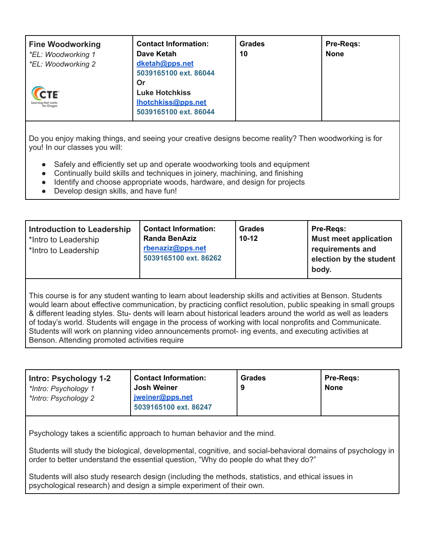| <b>Fine Woodworking</b><br>*EL: Woodworking 1<br>*EL: Woodworking 2 | <b>Contact Information:</b><br>Dave Ketah<br>dketah@pps.net<br>5039165100 ext. 86044 | Grades<br>10 | <b>Pre-Regs:</b><br><b>None</b> |
|---------------------------------------------------------------------|--------------------------------------------------------------------------------------|--------------|---------------------------------|
| CTE<br>ing that works<br>Nor Oreans                                 | Or<br><b>Luke Hotchkiss</b><br>Ihotchkiss@pps.net<br>5039165100 ext. 86044           |              |                                 |

Do you enjoy making things, and seeing your creative designs become reality? Then woodworking is for you! In our classes you will:

- Safely and efficiently set up and operate woodworking tools and equipment
- Continually build skills and techniques in joinery, machining, and finishing
- Identify and choose appropriate woods, hardware, and design for projects
- Develop design skills, and have fun!

| <b>Introduction to Leadership</b><br>*Intro to Leadership<br>*Intro to Leadership | <b>Contact Information:</b><br><b>Randa BenAziz</b><br>rbenaziz@pps.net<br>5039165100 ext. 86262 | <b>Grades</b><br>$10 - 12$ | Pre-Regs:<br><b>Must meet application</b><br>requirements and<br>election by the student<br>body. |
|-----------------------------------------------------------------------------------|--------------------------------------------------------------------------------------------------|----------------------------|---------------------------------------------------------------------------------------------------|
|-----------------------------------------------------------------------------------|--------------------------------------------------------------------------------------------------|----------------------------|---------------------------------------------------------------------------------------------------|

This course is for any student wanting to learn about leadership skills and activities at Benson. Students would learn about effective communication, by practicing conflict resolution, public speaking in small groups & different leading styles. Stu- dents will learn about historical leaders around the world as well as leaders of today's world. Students will engage in the process of working with local nonprofits and Communicate. Students will work on planning video announcements promot- ing events, and executing activities at Benson. Attending promoted activities require

| Intro: Psychology 1-2<br>*Intro: Psychology 1<br>*Intro: Psychology 2 | <b>Contact Information:</b><br><b>Josh Weiner</b><br>iweiner@pps.net<br>5039165100 ext. 86247 | Grades | <b>Pre-Regs:</b><br><b>None</b> |  |
|-----------------------------------------------------------------------|-----------------------------------------------------------------------------------------------|--------|---------------------------------|--|
| Psychology takes a scientific approach to buman behavior and the mind |                                                                                               |        |                                 |  |

 $\mathop{\mathsf{c}}$  hology takes a scientific approach to human behavior and the mind.

Students will study the biological, developmental, cognitive, and social-behavioral domains of psychology in order to better understand the essential question, "Why do people do what they do?"

Students will also study research design (including the methods, statistics, and ethical issues in psychological research) and design a simple experiment of their own.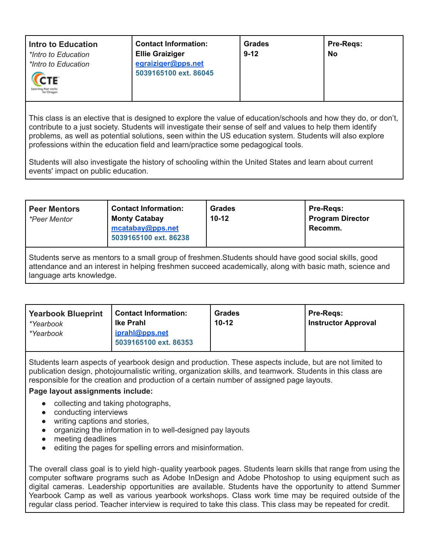This class is an elective that is designed to explore the value of education/schools and how they do, or don't, contribute to a just society. Students will investigate their sense of self and values to help them identify problems, as well as potential solutions, seen within the US education system. Students will also explore professions within the education field and learn/practice some pedagogical tools.

Students will also investigate the history of schooling within the United States and learn about current events' impact on public education.

| <b>Peer Mentors</b><br><i>*Peer Mentor</i>                                                                                                                                                                                                   | <b>Contact Information:</b><br><b>Monty Catabay</b><br>mcatabay@pps.net<br>5039165100 ext. 86238 | <b>Grades</b><br>$10-12$ | Pre-Regs:<br><b>Program Director</b><br>Recomm. |
|----------------------------------------------------------------------------------------------------------------------------------------------------------------------------------------------------------------------------------------------|--------------------------------------------------------------------------------------------------|--------------------------|-------------------------------------------------|
| Students serve as mentors to a small group of freshmen. Students should have good social skills, good<br>attendance and an interest in helping freshmen succeed academically, along with basic math, science and<br>language arts knowledge. |                                                                                                  |                          |                                                 |

| <b>Yearbook Blueprint</b><br>*Yearbook<br>*Yearbook | Contact Information:<br><b>Ike Prahl</b><br>iprahl@pps.net<br>5039165100 ext. 86353 | <b>Grades</b><br>$10 - 12$ | <b>Pre-Regs:</b><br><b>Instructor Approval</b> |
|-----------------------------------------------------|-------------------------------------------------------------------------------------|----------------------------|------------------------------------------------|
|-----------------------------------------------------|-------------------------------------------------------------------------------------|----------------------------|------------------------------------------------|

Students learn aspects of yearbook design and production. These aspects include, but are not limited to publication design, photojournalistic writing, organization skills, and teamwork. Students in this class are responsible for the creation and production of a certain number of assigned page layouts.

## **Page layout assignments include:**

- collecting and taking photographs,
- conducting interviews
- writing captions and stories,
- organizing the information in to well-designed pay layouts
- meeting deadlines
- editing the pages for spelling errors and misinformation.

The overall class goal is to yield high-quality yearbook pages. Students learn skills that range from using the computer software programs such as Adobe InDesign and Adobe Photoshop to using equipment such as digital cameras. Leadership opportunities are available. Students have the opportunity to attend Summer Yearbook Camp as well as various yearbook workshops. Class work time may be required outside of the regular class period. Teacher interview is required to take this class. This class may be repeated for credit.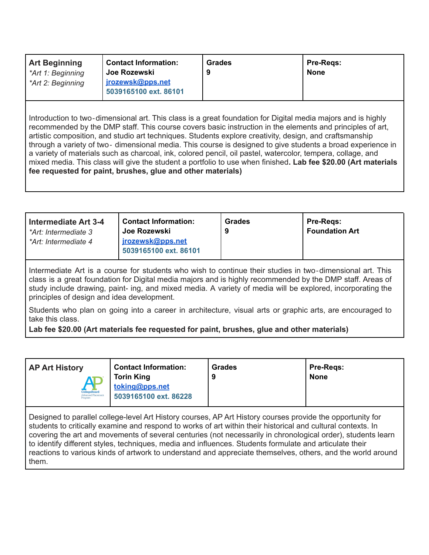| <b>Art Beginning</b> | <b>Contact Information:</b>               | <b>Grades</b> | <b>Pre-Regs:</b> |
|----------------------|-------------------------------------------|---------------|------------------|
| *Art 1: Beginning    | Joe Rozewski                              | 9             | <b>None</b>      |
| *Art 2: Beginning    | jrozewsk@pps.net<br>5039165100 ext. 86101 |               |                  |

Introduction to two‐dimensional art. This class is a great foundation for Digital media majors and is highly recommended by the DMP staff. This course covers basic instruction in the elements and principles of art, artistic composition, and studio art techniques. Students explore creativity, design, and craftsmanship through a variety of two‐ dimensional media. This course is designed to give students a broad experience in a variety of materials such as charcoal, ink, colored pencil, oil pastel, watercolor, tempera, collage, and mixed media. This class will give the student a portfolio to use when finished**. Lab fee \$20.00 (Art materials fee requested for paint, brushes, glue and other materials)**

| Joe Rozewski<br>l *Art: Intermediate 3<br>jrozewsk@pps.net<br>l *Art: Intermediate 4<br>5039165100 ext. 86101 | <b>Pre-Regs:</b><br><b>Foundation Art</b> |
|---------------------------------------------------------------------------------------------------------------|-------------------------------------------|
|---------------------------------------------------------------------------------------------------------------|-------------------------------------------|

Intermediate Art is a course for students who wish to continue their studies in two‐dimensional art. This class is a great foundation for Digital media majors and is highly recommended by the DMP staff. Areas of study include drawing, paint- ing, and mixed media. A variety of media will be explored, incorporating the principles of design and idea development.

Students who plan on going into a career in architecture, visual arts or graphic arts, are encouraged to take this class.

**Lab fee \$20.00 (Art materials fee requested for paint, brushes, glue and other materials)**

| <b>Contact Information:</b><br><b>AP Art History</b><br><b>Torin King</b><br>toking@pps.net<br>CollegeBoard<br>5039165100 ext. 86228<br>Advanced Placement<br>Program | Grades | Pre-Regs:<br><b>None</b> |  |
|-----------------------------------------------------------------------------------------------------------------------------------------------------------------------|--------|--------------------------|--|
|-----------------------------------------------------------------------------------------------------------------------------------------------------------------------|--------|--------------------------|--|

Designed to parallel college-level Art History courses, AP Art History courses provide the opportunity for students to critically examine and respond to works of art within their historical and cultural contexts. In covering the art and movements of several centuries (not necessarily in chronological order), students learn to identify different styles, techniques, media and influences. Students formulate and articulate their reactions to various kinds of artwork to understand and appreciate themselves, others, and the world around them.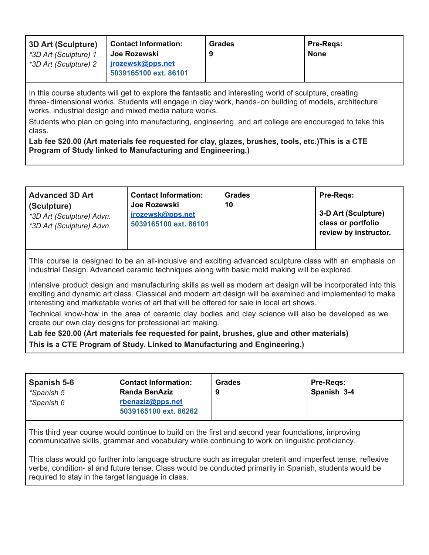| <b>3D Art (Sculpture)</b> | <b>Contact Information:</b>               | Grades | <b>Pre-Regs:</b> |
|---------------------------|-------------------------------------------|--------|------------------|
| *3D Art (Sculpture) 1     | ∣ Joe Rozewski                            | 9      | <b>None</b>      |
| *3D Art (Sculpture) 2     | jrozewsk@pps.net<br>5039165100 ext. 86101 |        |                  |

In this course students will get to explore the fantastic and interesting world of sculpture, creating three‐dimensional works. Students will engage in clay work, hands‐on building of models, architecture works, industrial design and mixed media nature works.

Students who plan on going into manufacturing, engineering, and art college are encouraged to take this class.

**Lab fee \$20.00 (Art materials fee requested for clay, glazes, brushes, tools, etc.)This is a CTE Program of Study linked to Manufacturing and Engineering.)**

| <b>Advanced 3D Art</b><br>(Sculpture)<br>*3D Art (Sculpture) Advn.<br>*3D Art (Sculpture) Advn. | <b>Contact Information:</b><br>Joe Rozewski<br>jrozewsk@pps.net<br>5039165100 ext. 86101 | Grades<br>10 | <b>Pre-Regs:</b><br>3-D Art (Sculpture)<br>class or portfolio<br>review by instructor. |
|-------------------------------------------------------------------------------------------------|------------------------------------------------------------------------------------------|--------------|----------------------------------------------------------------------------------------|
|                                                                                                 |                                                                                          |              |                                                                                        |

This course is designed to be an all-inclusive and exciting advanced sculpture class with an emphasis on Industrial Design. Advanced ceramic techniques along with basic mold making will be explored.

Intensive product design and manufacturing skills as well as modern art design will be incorporated into this exciting and dynamic art class. Classical and modern art design will be examined and implemented to make interesting and marketable works of art that will be offered for sale in local art shows.

Technical know-how in the area of ceramic clay bodies and clay science will also be developed as we create our own clay designs for professional art making.

**Lab fee \$20.00 (Art materials fee requested for paint, brushes, glue and other materials) This is a CTE Program of Study. Linked to Manufacturing and Engineering.)**

| <b>Spanish 5-6</b> | <b>Contact Information:</b>               | Grades | Pre-Regs:   |
|--------------------|-------------------------------------------|--------|-------------|
| *Spanish 5         | <b>Randa BenAziz</b>                      |        | Spanish 3-4 |
| *Spanish 6         | rbenaziz@pps.net<br>5039165100 ext. 86262 |        |             |

This third year course would continue to build on the first and second year foundations, improving communicative skills, grammar and vocabulary while continuing to work on linguistic proficiency.

This class would go further into language structure such as irregular preterit and imperfect tense, reflexive verbs, condition- al and future tense. Class would be conducted primarily in Spanish, students would be required to stay in the target language in class.